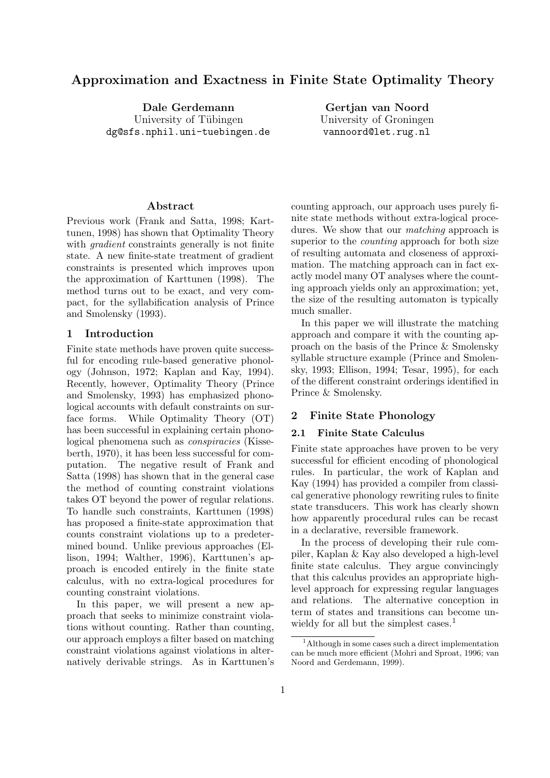# Approximation and Exactness in Finite State Optimality Theory

Dale Gerdemann University of Tübingen dg@sfs.nphil.uni-tuebingen.de

Gertjan van Noord University of Groningen vannoord@let.rug.nl

#### Abstract

Previous work (Frank and Satta, 1998; Karttunen, 1998) has shown that Optimality Theory with *gradient* constraints generally is not finite state. A new finite-state treatment of gradient constraints is presented which improves upon the approximation of Karttunen (1998). The method turns out to be exact, and very compact, for the syllabification analysis of Prince and Smolensky (1993).

#### 1 Introduction

Finite state methods have proven quite successful for encoding rule-based generative phonology (Johnson, 1972; Kaplan and Kay, 1994). Recently, however, Optimality Theory (Prince and Smolensky, 1993) has emphasized phonological accounts with default constraints on surface forms. While Optimality Theory (OT) has been successful in explaining certain phonological phenomena such as conspiracies (Kisseberth, 1970), it has been less successful for computation. The negative result of Frank and Satta (1998) has shown that in the general case the method of counting constraint violations takes OT beyond the power of regular relations. To handle such constraints, Karttunen (1998) has proposed a finite-state approximation that counts constraint violations up to a predetermined bound. Unlike previous approaches (Ellison, 1994; Walther, 1996), Karttunen's approach is encoded entirely in the finite state calculus, with no extra-logical procedures for counting constraint violations.

In this paper, we will present a new approach that seeks to minimize constraint violations without counting. Rather than counting, our approach employs a filter based on matching constraint violations against violations in alternatively derivable strings. As in Karttunen's

counting approach, our approach uses purely finite state methods without extra-logical procedures. We show that our *matching* approach is superior to the *counting* approach for both size of resulting automata and closeness of approximation. The matching approach can in fact exactly model many OT analyses where the counting approach yields only an approximation; yet, the size of the resulting automaton is typically much smaller.

In this paper we will illustrate the matching approach and compare it with the counting approach on the basis of the Prince & Smolensky syllable structure example (Prince and Smolensky, 1993; Ellison, 1994; Tesar, 1995), for each of the different constraint orderings identified in Prince & Smolensky.

### 2 Finite State Phonology

### 2.1 Finite State Calculus

Finite state approaches have proven to be very successful for efficient encoding of phonological rules. In particular, the work of Kaplan and Kay (1994) has provided a compiler from classical generative phonology rewriting rules to finite state transducers. This work has clearly shown how apparently procedural rules can be recast in a declarative, reversible framework.

In the process of developing their rule compiler, Kaplan & Kay also developed a high-level finite state calculus. They argue convincingly that this calculus provides an appropriate highlevel approach for expressing regular languages and relations. The alternative conception in term of states and transitions can become unwieldy for all but the simplest cases.<sup>1</sup>

<sup>&</sup>lt;sup>1</sup>Although in some cases such a direct implementation can be much more efficient (Mohri and Sproat, 1996; van Noord and Gerdemann, 1999).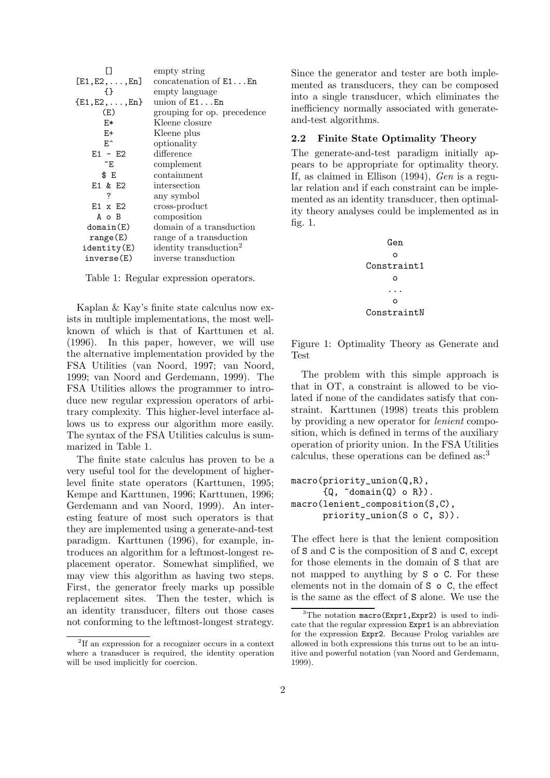|                          | empty string                       |
|--------------------------|------------------------------------|
| $[E1, E2, \ldots, En]$   | concatenation of $E1$ $En$         |
| 1 }                      | empty language                     |
| $\{E1, E2, \ldots, En\}$ | union of $E1$ $En$                 |
| (E)                      | grouping for op. precedence        |
| E*                       | Kleene closure                     |
| $E+$                     | Kleene plus                        |
| E^                       | optionality                        |
| $E1 - E2$                | difference                         |
| $\tilde{}$ E             | complement                         |
| \$ E                     | containment                        |
| E1 & E2                  | intersection                       |
| ?                        | any symbol                         |
| $E1 \times E2$           | cross-product                      |
| A o B                    | composition                        |
| domain(E)                | domain of a transduction           |
| range(E)                 | range of a transduction            |
| identity(E)              | identity transduction <sup>2</sup> |
| inverse(E)               | inverse transduction               |
|                          |                                    |

Table 1: Regular expression operators.

Kaplan & Kay's finite state calculus now exists in multiple implementations, the most wellknown of which is that of Karttunen et al. (1996). In this paper, however, we will use the alternative implementation provided by the FSA Utilities (van Noord, 1997; van Noord, 1999; van Noord and Gerdemann, 1999). The FSA Utilities allows the programmer to introduce new regular expression operators of arbitrary complexity. This higher-level interface allows us to express our algorithm more easily. The syntax of the FSA Utilities calculus is summarized in Table 1.

The finite state calculus has proven to be a very useful tool for the development of higherlevel finite state operators (Karttunen, 1995; Kempe and Karttunen, 1996; Karttunen, 1996; Gerdemann and van Noord, 1999). An interesting feature of most such operators is that they are implemented using a generate-and-test paradigm. Karttunen (1996), for example, introduces an algorithm for a leftmost-longest replacement operator. Somewhat simplified, we may view this algorithm as having two steps. First, the generator freely marks up possible replacement sites. Then the tester, which is an identity transducer, filters out those cases not conforming to the leftmost-longest strategy.

Since the generator and tester are both implemented as transducers, they can be composed into a single transducer, which eliminates the inefficiency normally associated with generateand-test algorithms.

#### 2.2 Finite State Optimality Theory

The generate-and-test paradigm initially appears to be appropriate for optimality theory. If, as claimed in Ellison (1994), Gen is a regular relation and if each constraint can be implemented as an identity transducer, then optimality theory analyses could be implemented as in fig. 1.



Figure 1: Optimality Theory as Generate and Test

The problem with this simple approach is that in OT, a constraint is allowed to be violated if none of the candidates satisfy that constraint. Karttunen (1998) treats this problem by providing a new operator for lenient composition, which is defined in terms of the auxiliary operation of priority union. In the FSA Utilities calculus, these operations can be defined as:<sup>3</sup>

```
macro(priority_union(Q,R),
      {Q, \text{ "domain(Q) o R}}.
macro(lenient_composition(S,C),
      priority_union(S o C, S)).
```
The effect here is that the lenient composition of S and C is the composition of S and C, except for those elements in the domain of S that are not mapped to anything by S o C. For these elements not in the domain of S o C, the effect is the same as the effect of S alone. We use the

<sup>2</sup> If an expression for a recognizer occurs in a context where a transducer is required, the identity operation will be used implicitly for coercion.

 ${}^{3}$ The notation macro(Expr1, Expr2) is used to indicate that the regular expression Expr1 is an abbreviation for the expression Expr2. Because Prolog variables are allowed in both expressions this turns out to be an intuitive and powerful notation (van Noord and Gerdemann, 1999).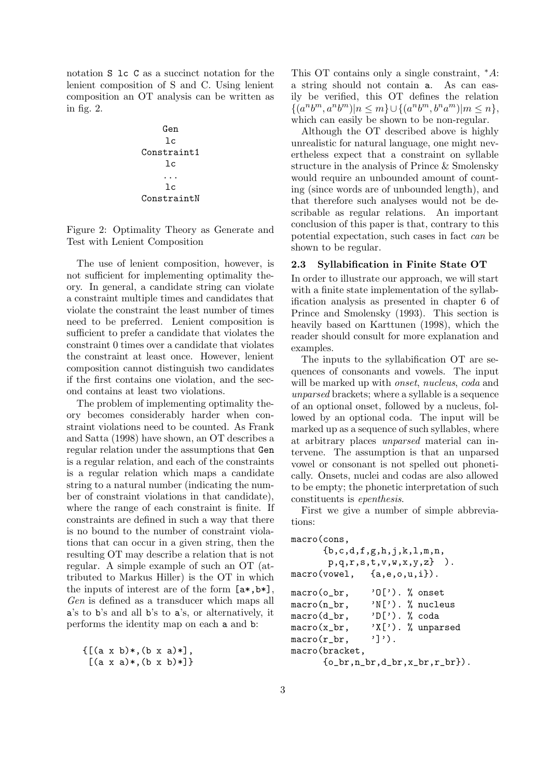notation S lc C as a succinct notation for the lenient composition of S and C. Using lenient composition an OT analysis can be written as in fig. 2.

Gen lc Constraint1 lc ... lc ConstraintN

Figure 2: Optimality Theory as Generate and Test with Lenient Composition

The use of lenient composition, however, is not sufficient for implementing optimality theory. In general, a candidate string can violate a constraint multiple times and candidates that violate the constraint the least number of times need to be preferred. Lenient composition is sufficient to prefer a candidate that violates the constraint 0 times over a candidate that violates the constraint at least once. However, lenient composition cannot distinguish two candidates if the first contains one violation, and the second contains at least two violations.

The problem of implementing optimality theory becomes considerably harder when constraint violations need to be counted. As Frank and Satta (1998) have shown, an OT describes a regular relation under the assumptions that Gen is a regular relation, and each of the constraints is a regular relation which maps a candidate string to a natural number (indicating the number of constraint violations in that candidate), where the range of each constraint is finite. If constraints are defined in such a way that there is no bound to the number of constraint violations that can occur in a given string, then the resulting OT may describe a relation that is not regular. A simple example of such an OT (attributed to Markus Hiller) is the OT in which the inputs of interest are of the form [a\*,b\*], Gen is defined as a transducer which maps all a's to b's and all b's to a's, or alternatively, it performs the identity map on each a and b:

 ${[ (a \times b)*, (b \times a)*]},$  $[(a \times a)*(b \times b)*]\}$  This OT contains only a single constraint, <sup>∗</sup>A: a string should not contain a. As can easily be verified, this OT defines the relation  $\{ (a^n b^m, a^n b^m) | n \leq m \} \cup \{ (a^n b^m, b^n a^m) | m \leq n \},\$ which can easily be shown to be non-regular.

Although the OT described above is highly unrealistic for natural language, one might nevertheless expect that a constraint on syllable structure in the analysis of Prince & Smolensky would require an unbounded amount of counting (since words are of unbounded length), and that therefore such analyses would not be describable as regular relations. An important conclusion of this paper is that, contrary to this potential expectation, such cases in fact can be shown to be regular.

#### 2.3 Syllabification in Finite State OT

In order to illustrate our approach, we will start with a finite state implementation of the syllabification analysis as presented in chapter 6 of Prince and Smolensky (1993). This section is heavily based on Karttunen (1998), which the reader should consult for more explanation and examples.

The inputs to the syllabification OT are sequences of consonants and vowels. The input will be marked up with *onset*, *nucleus*, *coda* and unparsed brackets; where a syllable is a sequence of an optional onset, followed by a nucleus, followed by an optional coda. The input will be marked up as a sequence of such syllables, where at arbitrary places unparsed material can intervene. The assumption is that an unparsed vowel or consonant is not spelled out phonetically. Onsets, nuclei and codas are also allowed to be empty; the phonetic interpretation of such constituents is epenthesis.

First we give a number of simple abbreviations:

```
macro(cons,
```

```
{b,c,d,f,g,h,j,k,l,m,n,
       p,q,r,s,t,v,w,x,y,z} ).
macro(vowel, {a,e,o,u,i}).
macro(o_br, 'O['). % onset
macro(n_br, 'N['). % nucleus
macro(d_br, 'D['). % coda
macro(x_br, \quad 'X['). % unparsed\text{macro}(r_b, \quad \text{'})').
macro(bracket,
      \{o\_br, n\_br, d\_br, x\_br, r\_br\}.
```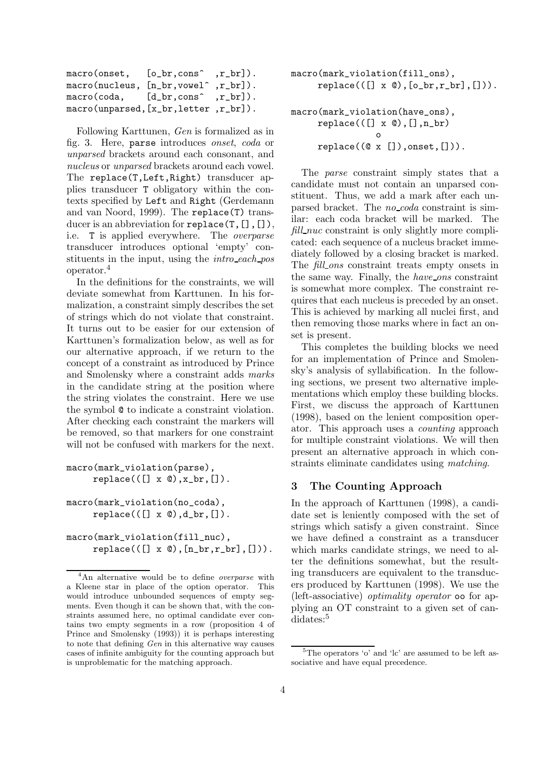| macro(onset,                           | $[o_br, cons^-, r_br]$ . |  |
|----------------------------------------|--------------------------|--|
| macro(nucleus, [n_br, vowel^, r_br]).  |                          |  |
| macro(coda, [d_br,cons^,r_br]).        |                          |  |
| macro(unparsed, [x_br, letter, r_br]). |                          |  |

Following Karttunen, Gen is formalized as in fig. 3. Here, parse introduces onset, coda or unparsed brackets around each consonant, and nucleus or unparsed brackets around each vowel. The replace(T, Left, Right) transducer applies transducer T obligatory within the contexts specified by Left and Right (Gerdemann and van Noord, 1999). The replace(T) transducer is an abbreviation for replace(T, [], []), i.e. T is applied everywhere. The overparse transducer introduces optional 'empty' constituents in the input, using the *intro-each-pos* operator.<sup>4</sup>

In the definitions for the constraints, we will deviate somewhat from Karttunen. In his formalization, a constraint simply describes the set of strings which do not violate that constraint. It turns out to be easier for our extension of Karttunen's formalization below, as well as for our alternative approach, if we return to the concept of a constraint as introduced by Prince and Smolensky where a constraint adds marks in the candidate string at the position where the string violates the constraint. Here we use the symbol @ to indicate a constraint violation. After checking each constraint the markers will be removed, so that markers for one constraint will not be confused with markers for the next.

```
macro(mark_violation(parse),
     replace(([] x 0), x.br, []).
```

```
macro(mark_violation(no_coda),
     replace(([] x 0), d.br, []).
```
macro(mark\_violation(fill\_nuc),  $replace(([] x 0), [n.br, r.br], [])).$ 

```
macro(mark_violation(fill_ons),
     replace(([] x 0), [o_b, r_b, r_b, [])).
```
# macro(mark\_violation(have\_ons),  $replace(([] x @), [] , n_br)$ o  $replace((@ x []), onset, [])).$

The parse constraint simply states that a candidate must not contain an unparsed constituent. Thus, we add a mark after each unparsed bracket. The no\_coda constraint is similar: each coda bracket will be marked. The fill nuc constraint is only slightly more complicated: each sequence of a nucleus bracket immediately followed by a closing bracket is marked. The *fill\_ons* constraint treats empty onsets in the same way. Finally, the *have\_ons* constraint is somewhat more complex. The constraint requires that each nucleus is preceded by an onset. This is achieved by marking all nuclei first, and then removing those marks where in fact an onset is present.

This completes the building blocks we need for an implementation of Prince and Smolensky's analysis of syllabification. In the following sections, we present two alternative implementations which employ these building blocks. First, we discuss the approach of Karttunen (1998), based on the lenient composition operator. This approach uses a counting approach for multiple constraint violations. We will then present an alternative approach in which constraints eliminate candidates using matching.

### 3 The Counting Approach

In the approach of Karttunen (1998), a candidate set is leniently composed with the set of strings which satisfy a given constraint. Since we have defined a constraint as a transducer which marks candidate strings, we need to alter the definitions somewhat, but the resulting transducers are equivalent to the transducers produced by Karttunen (1998). We use the (left-associative) optimality operator oo for applying an OT constraint to a given set of can- $\rm didates:$ <sup>5</sup>

<sup>&</sup>lt;sup>4</sup>An alternative would be to define *overparse* with a Kleene star in place of the option operator. This would introduce unbounded sequences of empty segments. Even though it can be shown that, with the constraints assumed here, no optimal candidate ever contains two empty segments in a row (proposition 4 of Prince and Smolensky (1993)) it is perhaps interesting to note that defining Gen in this alternative way causes cases of infinite ambiguity for the counting approach but is unproblematic for the matching approach.

 ${}^{5}$ The operators 'o' and 'lc' are assumed to be left associative and have equal precedence.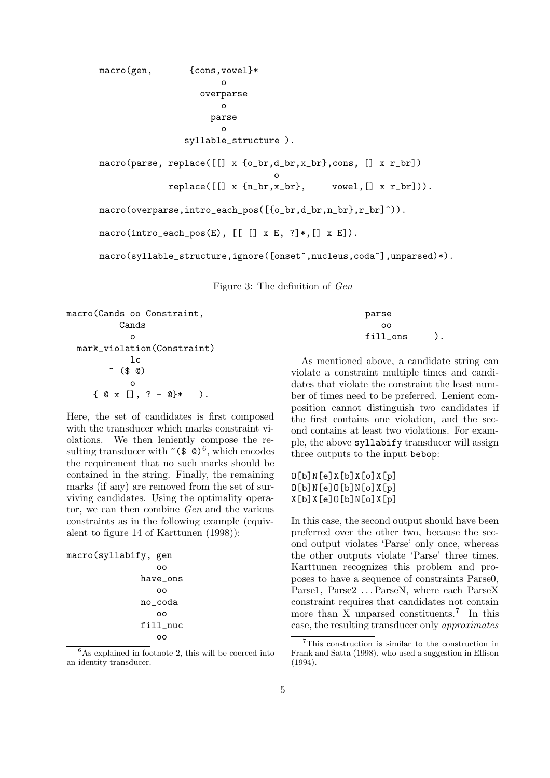```
macro(gen, {cons, vowel}*
                       o
                   overparse
                       o
                     parse
                       o
                syllable_structure ).
macro(parse, replace([[] x {o_br,d_br,x_br},cons, [] x r_br])
                                 o
            replace([[] x {n.br, x.br}, vowel, [] x r.br]).macro(overparse,intro_each_pos([{o_br,d_br,n_br},r_br]^)).
macro(intro_each_pos(E), [[[] x E, ?]*, [] x E]).macro(syllable_structure,ignore([onset^,nucleus,coda^],unparsed)*).
```
Figure 3: The definition of Gen

```
macro(Cands oo Constraint,
           Cands
             o
  mark_violation(Constraint)
             lc
         \sim ($ @)
              o
      \{ Q \times [], ? - @}* ).
```
Here, the set of candidates is first composed with the transducer which marks constraint violations. We then leniently compose the resulting transducer with  $\tilde{\ }$  ( $\oint$   $\tilde{\ }$ )<sup>6</sup>, which encodes the requirement that no such marks should be contained in the string. Finally, the remaining marks (if any) are removed from the set of surviving candidates. Using the optimality operator, we can then combine Gen and the various constraints as in the following example (equivalent to figure 14 of Karttunen (1998)):

macro(syllabify, gen oo have\_ons oo no\_coda oo fill\_nuc oo

 ${}^{6}$ As explained in footnote 2, this will be coerced into an identity transducer.

parse oo fill\_ons ).

As mentioned above, a candidate string can violate a constraint multiple times and candidates that violate the constraint the least number of times need to be preferred. Lenient composition cannot distinguish two candidates if the first contains one violation, and the second contains at least two violations. For example, the above syllabify transducer will assign three outputs to the input bebop:

 $O[b]N[e]X[b]X[o]X[p]$ O[b]N[e]O[b]N[o]X[p] X[b]X[e]O[b]N[o]X[p]

In this case, the second output should have been preferred over the other two, because the second output violates 'Parse' only once, whereas the other outputs violate 'Parse' three times. Karttunen recognizes this problem and proposes to have a sequence of constraints Parse0, Parse1, Parse2 ... ParseN, where each ParseX constraint requires that candidates not contain more than  $\overrightarrow{X}$  unparsed constituents.<sup>7</sup> In this case, the resulting transducer only approximates

<sup>7</sup>This construction is similar to the construction in Frank and Satta (1998), who used a suggestion in Ellison (1994).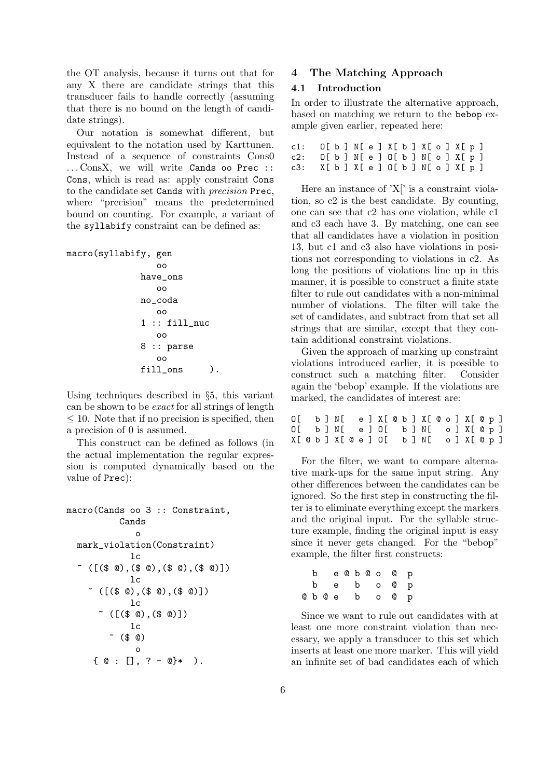the OT analysis, because it turns out that for any X there are candidate strings that this transducer fails to handle correctly (assuming that there is no bound on the length of candidate strings).

Our notation is somewhat different, but equivalent to the notation used by Karttunen. Instead of a sequence of constraints Cons0 ... ConsX, we will write Cands oo Prec :: Cons, which is read as: apply constraint Cons to the candidate set Cands with precision Prec, where "precision" means the predetermined bound on counting. For example, a variant of the syllabify constraint can be defined as:

```
macro(syllabify, gen
```

```
oo
have_ons
   oo
no_coda
   oo
1 :: fill_nuc
   oo
8 :: parse
   oo
fill_ons ).
```
Using techniques described in §5, this variant can be shown to be exact for all strings of length  $\leq$  10. Note that if no precision is specified, then a precision of 0 is assumed.

This construct can be defined as follows (in the actual implementation the regular expression is computed dynamically based on the value of Prec):

```
macro(Cands oo 3 :: Constraint,
                          Cands
                                  o
     mark_violation(Constraint)
                               lc
     ~ ([($ @),($ @),($ @),($ @)])
                              lc
          ~ ([($ @),($ @),($ @)])
                              lc
               ~ ([($ @),($ @)])
                               lc
                     ( \frac{1}{2} \frac{1}{2} \frac{1}{2} \frac{1}{2} \frac{1}{2} \frac{1}{2} \frac{1}{2} \frac{1}{2} \frac{1}{2} \frac{1}{2} \frac{1}{2} \frac{1}{2} \frac{1}{2} \frac{1}{2} \frac{1}{2} \frac{1}{2} \frac{1}{2} \frac{1}{2} \frac{1}{2} \frac{1}{2} \frac{1}{2} \frac{1}{2o
             \{ \emptyset : [] , ? - \mathbb{Q} * ).
```
### 4 The Matching Approach

#### 4.1 Introduction

In order to illustrate the alternative approach, based on matching we return to the bebop example given earlier, repeated here:

| c1: O[b]N[e]X[b]X[o]X[p] |  |  |  |  |  |  |
|--------------------------|--|--|--|--|--|--|
| c2: 0[b]N[e]0[b]N[o]X[p] |  |  |  |  |  |  |
| c3: X[b]X[e]O[b]N[o]X[p] |  |  |  |  |  |  |

Here an instance of 'X[' is a constraint violation, so c2 is the best candidate. By counting, one can see that c2 has one violation, while c1 and c3 each have 3. By matching, one can see that all candidates have a violation in position 13, but c1 and c3 also have violations in positions not corresponding to violations in c2. As long the positions of violations line up in this manner, it is possible to construct a finite state filter to rule out candidates with a non-minimal number of violations. The filter will take the set of candidates, and subtract from that set all strings that are similar, except that they contain additional constraint violations.

Given the approach of marking up constraint violations introduced earlier, it is possible to construct such a matching filter. Consider again the 'bebop' example. If the violations are marked, the candidates of interest are:

|  |  |  |  |  |  | O[b]N[e]X[©b]X[©o]X[©p] |  |  |  |  |
|--|--|--|--|--|--|-------------------------|--|--|--|--|
|  |  |  |  |  |  | O[b]N[e]O[b]N[o]X[0p]   |  |  |  |  |
|  |  |  |  |  |  | X[@b]X[@e]O[b]N[o]X[@p] |  |  |  |  |

For the filter, we want to compare alternative mark-ups for the same input string. Any other differences between the candidates can be ignored. So the first step in constructing the filter is to eliminate everything except the markers and the original input. For the syllable structure example, finding the original input is easy since it never gets changed. For the "bebop" example, the filter first constructs:

|  |  |  |  | b e @ b @ o @ p |  |
|--|--|--|--|-----------------|--|
|  |  |  |  | be bo @p        |  |
|  |  |  |  | ObOebo Op       |  |

Since we want to rule out candidates with at least one more constraint violation than necessary, we apply a transducer to this set which inserts at least one more marker. This will yield an infinite set of bad candidates each of which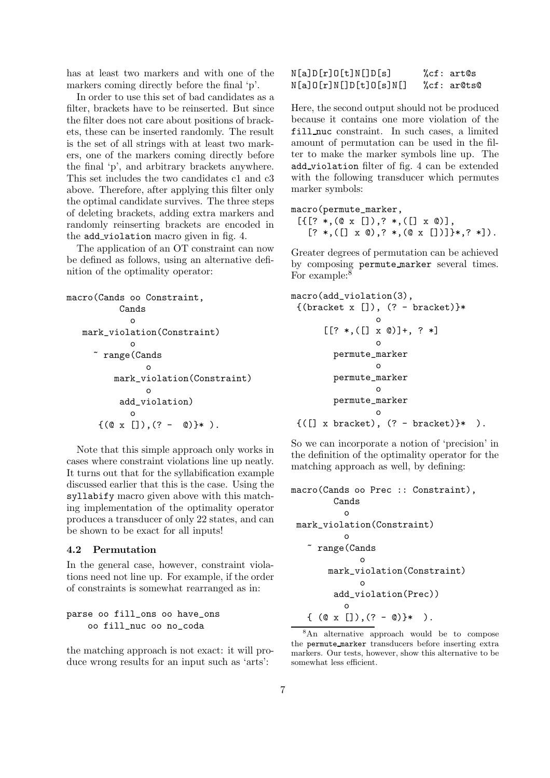has at least two markers and with one of the markers coming directly before the final 'p'.

In order to use this set of bad candidates as a filter, brackets have to be reinserted. But since the filter does not care about positions of brackets, these can be inserted randomly. The result is the set of all strings with at least two markers, one of the markers coming directly before the final 'p', and arbitrary brackets anywhere. This set includes the two candidates c1 and c3 above. Therefore, after applying this filter only the optimal candidate survives. The three steps of deleting brackets, adding extra markers and randomly reinserting brackets are encoded in the add violation macro given in fig. 4.

The application of an OT constraint can now be defined as follows, using an alternative definition of the optimality operator:

```
macro(Cands oo Constraint,
           Cands
              o
   mark_violation(Constraint)
              o
      ~ range(Cands
                 o
          mark_violation(Constraint)
                 o
           add_violation)
              o
       \{({\tt 0 x} []) , ( ? - {\tt 0})\} * ).
```
Note that this simple approach only works in cases where constraint violations line up neatly. It turns out that for the syllabification example discussed earlier that this is the case. Using the syllabify macro given above with this matching implementation of the optimality operator produces a transducer of only 22 states, and can be shown to be exact for all inputs!

### 4.2 Permutation

In the general case, however, constraint violations need not line up. For example, if the order of constraints is somewhat rearranged as in:

### parse oo fill\_ons oo have\_ons oo fill\_nuc oo no\_coda

the matching approach is not exact: it will produce wrong results for an input such as 'arts':

### N[a]D[r]O[t]N[]D[s] %cf: art@s N[a]O[r]N[]D[t]O[s]N[] %cf: ar@ts@

Here, the second output should not be produced because it contains one more violation of the fill nuc constraint. In such cases, a limited amount of permutation can be used in the filter to make the marker symbols line up. The add violation filter of fig. 4 can be extended with the following transducer which permutes marker symbols:

macro(permute\_marker,  $[ { [ ? *, (0 x []), ? *, ([] x 0) ], }$  $[? *, ([] x 0), ? *, (0 x [])]$  \*, ? \*]).

Greater degrees of permutation can be achieved by composing permute marker several times. For example: $8$ 

```
macro(add_violation(3),
 \{(bracket x[]), (? - bracket)\}*
                  o
      [? * , ([x \circledcirc)] + , ? *]o
         permute_marker
                  o
         permute_marker
                  o
         permute_marker
                  o
 {([ ] x bracket), ( ? - bracket)}* ).
```
So we can incorporate a notion of 'precision' in the definition of the optimality operator for the matching approach as well, by defining:

```
macro(Cands oo Prec :: Constraint),
         Cands
           o
 mark_violation(Constraint)
           o
   ~ range(Cands
              o
       mark_violation(Constraint)
              o
         add_violation(Prec))
           o
   \{ (\alpha x []), (? - \omega) }* ).
```
<sup>8</sup>An alternative approach would be to compose the permute marker transducers before inserting extra markers. Our tests, however, show this alternative to be somewhat less efficient.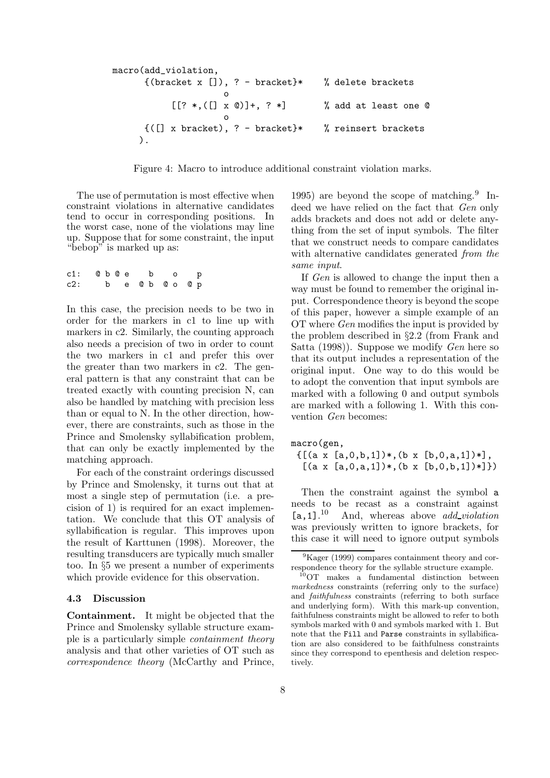```
macro(add_violation,
       \{(bracket x[]), ? - bracket\}^* \qquad % \text{delete brackets}o
            [? *, ([] x 0)] +, ? *] % add at least one 0
                        o
       {([] x \text{ bracket}), ? - \text{ bracket}}* % reinsert brackets
     ).
```
Figure 4: Macro to introduce additional constraint violation marks.

The use of permutation is most effective when constraint violations in alternative candidates tend to occur in corresponding positions. In the worst case, none of the violations may line up. Suppose that for some constraint, the input "bebop" is marked up as:

| c1: @ b @ e b o p |  |  |  |  |                 |  |
|-------------------|--|--|--|--|-----------------|--|
| c2:               |  |  |  |  | b e @ b @ o @ p |  |

In this case, the precision needs to be two in order for the markers in c1 to line up with markers in c2. Similarly, the counting approach also needs a precision of two in order to count the two markers in c1 and prefer this over the greater than two markers in c2. The general pattern is that any constraint that can be treated exactly with counting precision N, can also be handled by matching with precision less than or equal to N. In the other direction, however, there are constraints, such as those in the Prince and Smolensky syllabification problem, that can only be exactly implemented by the matching approach.

For each of the constraint orderings discussed by Prince and Smolensky, it turns out that at most a single step of permutation (i.e. a precision of 1) is required for an exact implementation. We conclude that this OT analysis of syllabification is regular. This improves upon the result of Karttunen (1998). Moreover, the resulting transducers are typically much smaller too. In §5 we present a number of experiments which provide evidence for this observation.

#### 4.3 Discussion

Containment. It might be objected that the Prince and Smolensky syllable structure example is a particularly simple containment theory analysis and that other varieties of OT such as correspondence theory (McCarthy and Prince, 1995) are beyond the scope of matching.<sup>9</sup> Indeed we have relied on the fact that Gen only adds brackets and does not add or delete anything from the set of input symbols. The filter that we construct needs to compare candidates with alternative candidates generated from the same input.

If Gen is allowed to change the input then a way must be found to remember the original input. Correspondence theory is beyond the scope of this paper, however a simple example of an OT where Gen modifies the input is provided by the problem described in §2.2 (from Frank and Satta (1998)). Suppose we modify Gen here so that its output includes a representation of the original input. One way to do this would be to adopt the convention that input symbols are marked with a following 0 and output symbols are marked with a following 1. With this convention Gen becomes:

#### macro(gen,

 $\{[(a \times [a, 0, b, 1])*, (b \times [b, 0, a, 1])!]$  $[(a \times [a, 0, a, 1])*, (b \times [b, 0, b, 1])*]\})$ 

Then the constraint against the symbol a needs to be recast as a constraint against  $[a,1]$ . $^{10}$ And, whereas above *add\_violation* was previously written to ignore brackets, for this case it will need to ignore output symbols

 ${}^{9}$ Kager (1999) compares containment theory and correspondence theory for the syllable structure example.

<sup>10</sup>OT makes a fundamental distinction between markedness constraints (referring only to the surface) and faithfulness constraints (referring to both surface and underlying form). With this mark-up convention, faithfulness constraints might be allowed to refer to both symbols marked with 0 and symbols marked with 1. But note that the Fill and Parse constraints in syllabification are also considered to be faithfulness constraints since they correspond to epenthesis and deletion respectively.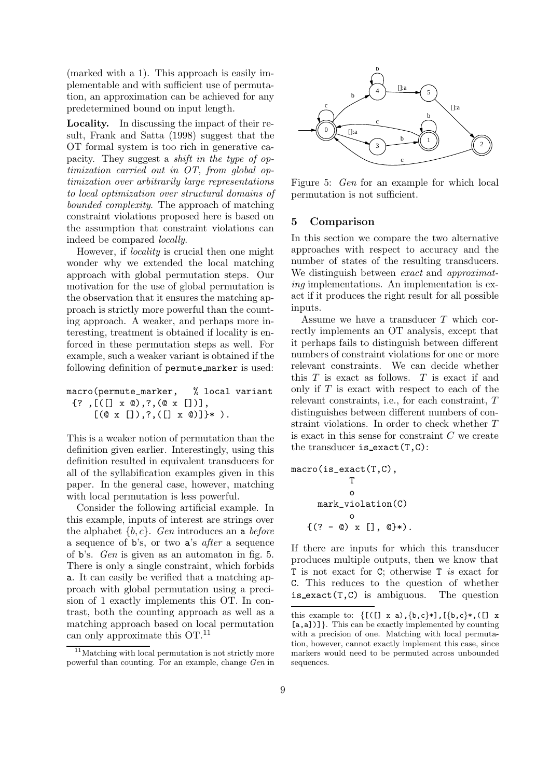(marked with a 1). This approach is easily implementable and with sufficient use of permutation, an approximation can be achieved for any predetermined bound on input length.

Locality. In discussing the impact of their result, Frank and Satta (1998) suggest that the OT formal system is too rich in generative capacity. They suggest a shift in the type of optimization carried out in OT, from global optimization over arbitrarily large representations to local optimization over structural domains of bounded complexity. The approach of matching constraint violations proposed here is based on the assumption that constraint violations can indeed be compared locally.

However, if locality is crucial then one might wonder why we extended the local matching approach with global permutation steps. Our motivation for the use of global permutation is the observation that it ensures the matching approach is strictly more powerful than the counting approach. A weaker, and perhaps more interesting, treatment is obtained if locality is enforced in these permutation steps as well. For example, such a weaker variant is obtained if the following definition of permute marker is used:

```
macro(permute_marker, % local variant
 \{?, [([] x 0), ?, (0 x [])],[(@ x []), ? , ([x 0)] * ).
```
This is a weaker notion of permutation than the definition given earlier. Interestingly, using this definition resulted in equivalent transducers for all of the syllabification examples given in this paper. In the general case, however, matching with local permutation is less powerful.

Consider the following artificial example. In this example, inputs of interest are strings over the alphabet  $\{b, c\}$ . Gen introduces an a before a sequence of b's, or two a's after a sequence of b's. Gen is given as an automaton in fig. 5. There is only a single constraint, which forbids a. It can easily be verified that a matching approach with global permutation using a precision of 1 exactly implements this OT. In contrast, both the counting approach as well as a matching approach based on local permutation can only approximate this OT.<sup>11</sup>



Figure 5: Gen for an example for which local permutation is not sufficient.

#### 5 Comparison

In this section we compare the two alternative approaches with respect to accuracy and the number of states of the resulting transducers. We distinguish between *exact* and *approximat*ing implementations. An implementation is exact if it produces the right result for all possible inputs.

Assume we have a transducer T which correctly implements an OT analysis, except that it perhaps fails to distinguish between different numbers of constraint violations for one or more relevant constraints. We can decide whether this  $T$  is exact as follows.  $T$  is exact if and only if  $T$  is exact with respect to each of the relevant constraints, i.e., for each constraint, T distinguishes between different numbers of constraint violations. In order to check whether T is exact in this sense for constraint  $C$  we create the transducer is  $exact(T, C)$ :

$$
\begin{array}{ll}\n\texttt{macro}(is\_exact(T, C), & T & \\
 & 0 & \\
 & max\_violation(C) & \\
 & 0 & \\
 & \{ (? - @) \times [] \, , @ \} *). \\
\end{array}
$$

If there are inputs for which this transducer produces multiple outputs, then we know that T is not exact for C; otherwise T is exact for C. This reduces to the question of whether  $is\_exact(T, C)$  is ambiguous. The question

<sup>&</sup>lt;sup>11</sup>Matching with local permutation is not strictly more powerful than counting. For an example, change Gen in

this example to:  $\{ [([\] x a), \{b,c\} \ast], [\{b,c\} \ast], [\] x$ [a,a])]}. This can be exactly implemented by counting with a precision of one. Matching with local permutation, however, cannot exactly implement this case, since markers would need to be permuted across unbounded sequences.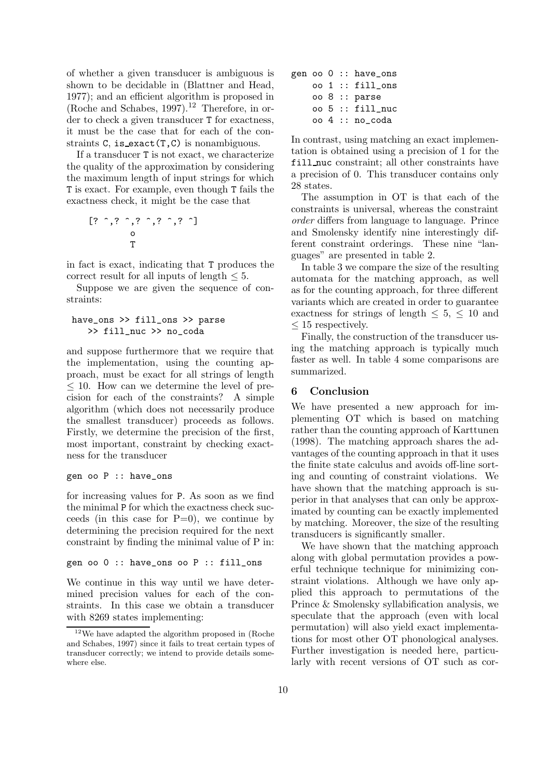of whether a given transducer is ambiguous is shown to be decidable in (Blattner and Head, 1977); and an efficient algorithm is proposed in (Roche and Schabes,  $1997$ ).<sup>12</sup> Therefore, in order to check a given transducer T for exactness, it must be the case that for each of the constraints  $C$ , is exact $(T, C)$  is nonambiguous.

If a transducer T is not exact, we characterize the quality of the approximation by considering the maximum length of input strings for which T is exact. For example, even though T fails the exactness check, it might be the case that

$$
\begin{bmatrix} ? \quad \hat{ } \quad \hat{ } \quad ? \quad \hat{ } \quad \hat{ } \quad \hat{ } \quad \hat{ } \quad \hat{ } \quad \hat{ } \quad \hat{ } \quad \hat{ } \quad \hat{ } \quad \hat{ } \quad \hat{ } \quad \hat{ } \quad \hat{ } \quad \hat{ } \quad \hat{ } \quad \hat{ } \quad \hat{ } \quad \hat{ } \quad \hat{ } \quad \hat{ } \quad \hat{ } \quad \hat{ } \quad \hat{ } \quad \hat{ } \quad \hat{ } \quad \hat{ } \quad \hat{ } \quad \hat{ } \quad \hat{ } \quad \hat{ } \quad \hat{ } \quad \hat{ } \quad \hat{ } \quad \hat{ } \quad \hat{ } \quad \hat{ } \quad \hat{ } \quad \hat{ } \quad \hat{ } \quad \hat{ } \quad \hat{ } \quad \hat{ } \quad \hat{ } \quad \hat{ } \quad \hat{ } \quad \hat{ } \quad \hat{ } \quad \hat{ } \quad \hat{ } \quad \hat{ } \quad \hat{ } \quad \hat{ } \quad \hat{ } \quad \hat{ } \quad \hat{ } \quad \hat{ } \quad \hat{ } \quad \hat{ } \quad \hat{ } \quad \hat{ } \quad \hat{ } \quad \hat{ } \quad \hat{ } \quad \hat{ } \quad \hat{ } \quad \hat{ } \quad \hat{ } \quad \hat{ } \quad \hat{ } \quad \hat{ } \quad \hat{ } \quad \hat{ } \quad \hat{ } \quad \hat{ } \quad \hat{ } \quad \hat{ } \quad \hat{ } \quad \hat{ } \quad \hat{ } \quad \hat{ } \quad \hat{ } \quad \hat{ } \quad \hat{ } \quad \hat{ } \quad \hat{ } \quad \hat{ } \quad \hat{ } \quad \hat{ } \quad \hat{ } \quad \hat{ } \quad \hat{ } \quad \hat{ } \quad \hat{ } \quad \hat{ } \quad \hat{ } \quad \hat{ } \quad \hat{ } \quad \hat{ } \quad \hat{ } \quad \hat{ } \quad \hat{ } \quad \hat{ } \quad \hat{ } \quad \hat{ } \quad \hat{ } \quad \hat{ } \quad \hat{ } \quad \hat{ } \quad \hat{ } \quad \hat{ } \quad \hat{ } \quad \hat{ } \quad \hat{ } \quad \hat{ } \quad \hat{ } \quad \hat{ } \quad \hat{ } \quad \hat{ } \quad \hat{ } \quad \hat{ } \quad \hat{ } \quad \hat{ } \quad \hat{ }
$$

in fact is exact, indicating that T produces the correct result for all inputs of length  $\leq 5$ .

Suppose we are given the sequence of constraints:

### have\_ons >> fill\_ons >> parse >> fill\_nuc >> no\_coda

and suppose furthermore that we require that the implementation, using the counting approach, must be exact for all strings of length  $\leq$  10. How can we determine the level of precision for each of the constraints? A simple algorithm (which does not necessarily produce the smallest transducer) proceeds as follows. Firstly, we determine the precision of the first, most important, constraint by checking exactness for the transducer

```
gen oo P :: have_ons
```
for increasing values for P. As soon as we find the minimal P for which the exactness check succeeds (in this case for  $P=0$ ), we continue by determining the precision required for the next constraint by finding the minimal value of P in:

#### gen oo 0 :: have\_ons oo P :: fill\_ons

We continue in this way until we have determined precision values for each of the constraints. In this case we obtain a transducer with 8269 states implementing:

|  |  | gen oo 0 :: have_ons |
|--|--|----------------------|
|  |  | $oo 1 :: fill_ons$   |
|  |  | oo 8 :: parse        |
|  |  | oo 5 :: fill_nuc     |
|  |  | oo 4 :: no coda      |

In contrast, using matching an exact implementation is obtained using a precision of 1 for the fill nuc constraint; all other constraints have a precision of 0. This transducer contains only 28 states.

The assumption in OT is that each of the constraints is universal, whereas the constraint order differs from language to language. Prince and Smolensky identify nine interestingly different constraint orderings. These nine "languages" are presented in table 2.

In table 3 we compare the size of the resulting automata for the matching approach, as well as for the counting approach, for three different variants which are created in order to guarantee exactness for strings of length  $\leq 5, \leq 10$  and  $\leq 15$  respectively.

Finally, the construction of the transducer using the matching approach is typically much faster as well. In table 4 some comparisons are summarized.

### 6 Conclusion

We have presented a new approach for implementing OT which is based on matching rather than the counting approach of Karttunen (1998). The matching approach shares the advantages of the counting approach in that it uses the finite state calculus and avoids off-line sorting and counting of constraint violations. We have shown that the matching approach is superior in that analyses that can only be approximated by counting can be exactly implemented by matching. Moreover, the size of the resulting transducers is significantly smaller.

We have shown that the matching approach along with global permutation provides a powerful technique technique for minimizing constraint violations. Although we have only applied this approach to permutations of the Prince & Smolensky syllabification analysis, we speculate that the approach (even with local permutation) will also yield exact implementations for most other OT phonological analyses. Further investigation is needed here, particularly with recent versions of OT such as cor-

 $12$ We have adapted the algorithm proposed in (Roche and Schabes, 1997) since it fails to treat certain types of transducer correctly; we intend to provide details somewhere else.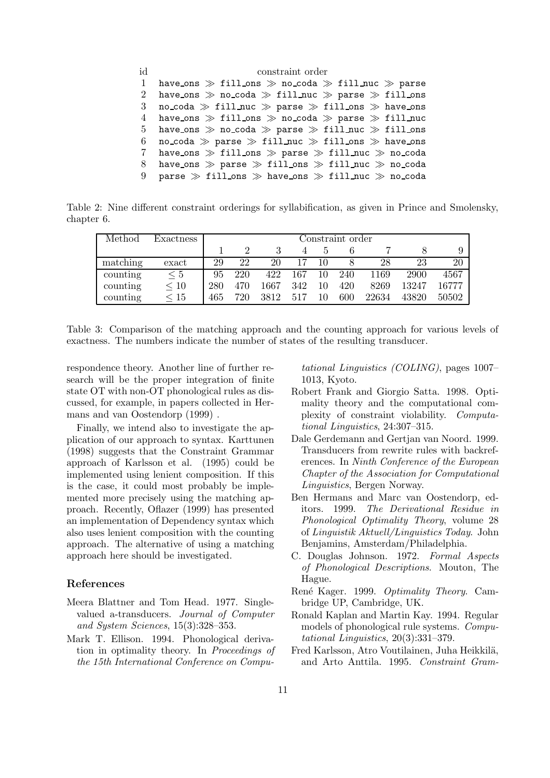| id              | constraint order                                                 |
|-----------------|------------------------------------------------------------------|
| 1               | have ons $\gg$ fill ons $\gg$ no coda $\gg$ fill nuc $\gg$ parse |
| 2               | have ons $\gg$ no coda $\gg$ fill nuc $\gg$ parse $\gg$ fill ons |
| -3              | no_coda $\gg$ fill_nuc $\gg$ parse $\gg$ fill_ons $\gg$ have_ons |
| 4               | have_ons $\gg$ fill_ons $\gg$ no_coda $\gg$ parse $\gg$ fill_nuc |
| 5 <sup>5</sup>  | have ons $\gg$ no coda $\gg$ parse $\gg$ fill nuc $\gg$ fill ons |
| 6               | no_coda $\gg$ parse $\gg$ fill_nuc $\gg$ fill_ons $\gg$ have_ons |
| $7\overline{ }$ | have_ons $\gg$ fill_ons $\gg$ parse $\gg$ fill_nuc $\gg$ no_coda |
| 8               | have_ons $\gg$ parse $\gg$ fill_ons $\gg$ fill_nuc $\gg$ no_coda |
| 9               | parse $\gg$ fill_ons $\gg$ have_ons $\gg$ fill_nuc $\gg$ no_coda |

Table 2: Nine different constraint orderings for syllabification, as given in Prince and Smolensky, chapter 6.

| Method   | Exactness |     | Constraint order |      |     |    |     |       |       |       |  |  |  |
|----------|-----------|-----|------------------|------|-----|----|-----|-------|-------|-------|--|--|--|
|          |           |     |                  |      |     |    |     |       |       |       |  |  |  |
| matching | exact     | 29  | 22               | 20   |     |    |     | 28    | 23    | 20    |  |  |  |
| counting | $\leq 5$  | 95  | 220              | 422  | 167 | 10 | 240 | 1169  | 2900  | 4567  |  |  |  |
| counting | $\leq 10$ | 280 | 470              | 1667 | 342 |    | 420 | 8269  | 13247 | 16777 |  |  |  |
| counting | $\leq 15$ | 465 | 720              | 3812 | 517 | 10 | 600 | 22634 | 43820 | 50502 |  |  |  |

Table 3: Comparison of the matching approach and the counting approach for various levels of exactness. The numbers indicate the number of states of the resulting transducer.

respondence theory. Another line of further research will be the proper integration of finite state OT with non-OT phonological rules as discussed, for example, in papers collected in Hermans and van Oostendorp (1999) .

Finally, we intend also to investigate the application of our approach to syntax. Karttunen (1998) suggests that the Constraint Grammar approach of Karlsson et al. (1995) could be implemented using lenient composition. If this is the case, it could most probably be implemented more precisely using the matching approach. Recently, Oflazer (1999) has presented an implementation of Dependency syntax which also uses lenient composition with the counting approach. The alternative of using a matching approach here should be investigated.

# References

- Meera Blattner and Tom Head. 1977. Singlevalued a-transducers. Journal of Computer and System Sciences, 15(3):328–353.
- Mark T. Ellison. 1994. Phonological derivation in optimality theory. In Proceedings of the 15th International Conference on Compu-

tational Linguistics (COLING), pages 1007– 1013, Kyoto.

- Robert Frank and Giorgio Satta. 1998. Optimality theory and the computational complexity of constraint violability. Computational Linguistics, 24:307–315.
- Dale Gerdemann and Gertjan van Noord. 1999. Transducers from rewrite rules with backreferences. In Ninth Conference of the European Chapter of the Association for Computational Linguistics, Bergen Norway.
- Ben Hermans and Marc van Oostendorp, editors. 1999. The Derivational Residue in Phonological Optimality Theory, volume 28 of Linguistik Aktuell/Linguistics Today. John Benjamins, Amsterdam/Philadelphia.
- C. Douglas Johnson. 1972. Formal Aspects of Phonological Descriptions. Mouton, The Hague.
- René Kager. 1999. Optimality Theory. Cambridge UP, Cambridge, UK.
- Ronald Kaplan and Martin Kay. 1994. Regular models of phonological rule systems. Computational Linguistics, 20(3):331–379.
- Fred Karlsson, Atro Voutilainen, Juha Heikkilä, and Arto Anttila. 1995. Constraint Gram-